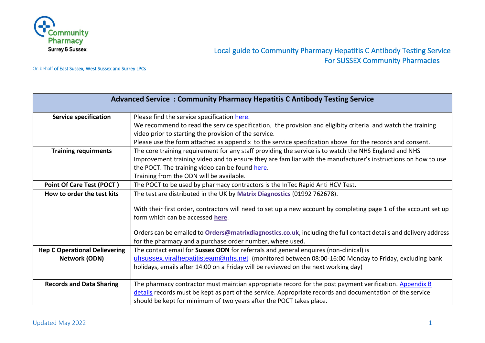

# Local guide to Community Pharmacy Hepatitis C Antibody Testing Service For SUSSEX Community Pharmacies

On behalf of East Sussex, West Sussex and Surrey LPCs

| <b>Advanced Service: Community Pharmacy Hepatitis C Antibody Testing Service</b> |                                                                                                                  |
|----------------------------------------------------------------------------------|------------------------------------------------------------------------------------------------------------------|
| <b>Service specification</b>                                                     | Please find the service specification here.                                                                      |
|                                                                                  | We recommend to read the service specification, the provision and eligibity criteria and watch the training      |
|                                                                                  | video prior to starting the provision of the service.                                                            |
|                                                                                  | Please use the form attached as appendix to the service specification above for the records and consent.         |
| <b>Training requirments</b>                                                      | The core training requirement for any staff providing the service is to watch the NHS England and NHS            |
|                                                                                  | Improvement training video and to ensure they are familiar with the manufacturer's instructions on how to use    |
|                                                                                  | the POCT. The training video can be found here.                                                                  |
|                                                                                  | Training from the ODN will be available.                                                                         |
| Point Of Care Test (POCT)                                                        | The POCT to be used by pharmacy contractors is the InTec Rapid Anti HCV Test.                                    |
| How to order the test kits                                                       | The test are distributed in the UK by Matrix Diagnostics (01992 762678).                                         |
|                                                                                  |                                                                                                                  |
|                                                                                  | With their first order, contractors will need to set up a new account by completing page 1 of the account set up |
|                                                                                  | form which can be accessed here.                                                                                 |
|                                                                                  | Orders can be emailed to Orders@matrixdiagnostics.co.uk, including the full contact details and delivery address |
|                                                                                  | for the pharmacy and a purchase order number, where used.                                                        |
| <b>Hep C Operational Delievering</b>                                             | The contact email for Sussex ODN for referrals and general enquires (non-clinical) is                            |
| <b>Network (ODN)</b>                                                             | uhsussex.viralhepatitisteam@nhs.net (monitored between 08:00-16:00 Monday to Friday, excluding bank              |
|                                                                                  | holidays, emails after 14:00 on a Friday will be reviewed on the next working day)                               |
|                                                                                  |                                                                                                                  |
| <b>Records and Data Sharing</b>                                                  | The pharmacy contractor must maintian appropriate record for the post payment verification. Appendix B           |
|                                                                                  | details records must be kept as part of the service. Appropriate records and documentation of the service        |
|                                                                                  | should be kept for minimum of two years after the POCT takes place.                                              |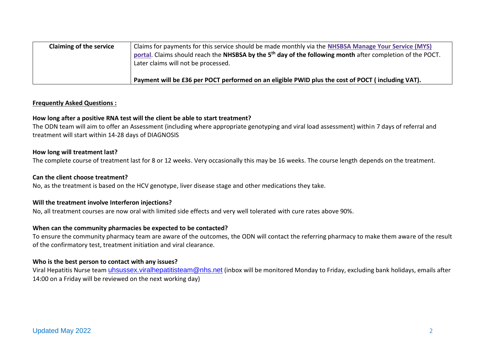| <b>Claiming of the service</b> | Claims for payments for this service should be made monthly via the NHSBSA Manage Your Service (MYS)<br>portal. Claims should reach the NHSBSA by the 5 <sup>th</sup> day of the following month after completion of the POCT.<br>Later claims will not be processed. |
|--------------------------------|-----------------------------------------------------------------------------------------------------------------------------------------------------------------------------------------------------------------------------------------------------------------------|
|                                | Payment will be £36 per POCT performed on an eligible PWID plus the cost of POCT (including VAT).                                                                                                                                                                     |

## **Frequently Asked Questions :**

## **How long after a positive RNA test will the client be able to start treatment?**

The ODN team will aim to offer an Assessment (including where appropriate genotyping and viral load assessment) within 7 days of referral and treatment will start within 14-28 days of DIAGNOSIS

#### **How long will treatment last?**

The complete course of treatment last for 8 or 12 weeks. Very occasionally this may be 16 weeks. The course length depends on the treatment.

## **Can the client choose treatment?**

No, as the treatment is based on the HCV genotype, liver disease stage and other medications they take.

## **Will the treatment involve Interferon injections?**

No, all treatment courses are now oral with limited side effects and very well tolerated with cure rates above 90%.

#### **When can the community pharmacies be expected to be contacted?**

To ensure the community pharmacy team are aware of the outcomes, the ODN will contact the referring pharmacy to make them aware of the result of the confirmatory test, treatment initiation and viral clearance.

#### **Who is the best person to contact with any issues?**

Viral Hepatitis Nurse team *[uhsussex.viralhepatitisteam@nhs.net](mailto:uhsussex.viralhepatitisteam@nhs.net)* (inbox will be monitored Monday to Friday, excluding bank holidays, emails after 14:00 on a Friday will be reviewed on the next working day)